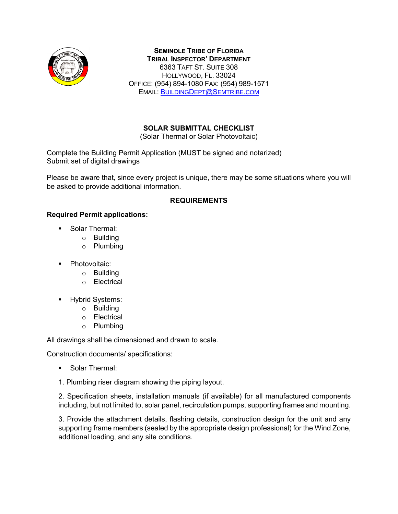

**SEMINOLE TRIBE OF FLORIDA TRIBAL INSPECTOR' DEPARTMENT** 6363 TAFT ST. SUITE 308 HOLLYWOOD, FL. 33024 OFFICE: (954) 894-1080 FAX: (954) 989-1571 EMAIL: [BUILDINGDEPT@SEMTRIBE.COM](mailto:BuildingDept@Semtribe.com)

# **SOLAR SUBMITTAL CHECKLIST**

(Solar Thermal or Solar Photovoltaic)

Complete the Building Permit Application (MUST be signed and notarized) Submit set of digital drawings

Please be aware that, since every project is unique, there may be some situations where you will be asked to provide additional information.

#### **REQUIREMENTS**

#### **Required Permit applications:**

- **Solar Thermal:** 
	- o Building
	- o Plumbing
- Photovoltaic:
	- o Building
	- o Electrical
- **-** Hybrid Systems:
	- o Building
	- o Electrical
	- o Plumbing

All drawings shall be dimensioned and drawn to scale.

Construction documents/ specifications:

- Solar Thermal:
- 1. Plumbing riser diagram showing the piping layout.

2. Specification sheets, installation manuals (if available) for all manufactured components including, but not limited to, solar panel, recirculation pumps, supporting frames and mounting.

3. Provide the attachment details, flashing details, construction design for the unit and any supporting frame members (sealed by the appropriate design professional) for the Wind Zone, additional loading, and any site conditions.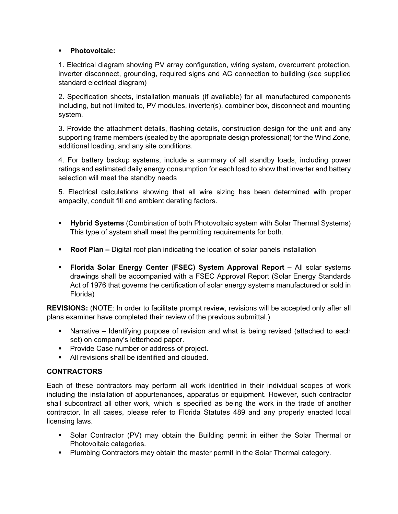## **Photovoltaic:**

1. Electrical diagram showing PV array configuration, wiring system, overcurrent protection, inverter disconnect, grounding, required signs and AC connection to building (see supplied standard electrical diagram)

2. Specification sheets, installation manuals (if available) for all manufactured components including, but not limited to, PV modules, inverter(s), combiner box, disconnect and mounting system.

3. Provide the attachment details, flashing details, construction design for the unit and any supporting frame members (sealed by the appropriate design professional) for the Wind Zone, additional loading, and any site conditions.

4. For battery backup systems, include a summary of all standby loads, including power ratings and estimated daily energy consumption for each load to show that inverter and battery selection will meet the standby needs

5. Electrical calculations showing that all wire sizing has been determined with proper ampacity, conduit fill and ambient derating factors.

- **Hybrid Systems** (Combination of both Photovoltaic system with Solar Thermal Systems) This type of system shall meet the permitting requirements for both.
- **Roof Plan –** Digital roof plan indicating the location of solar panels installation
- **Florida Solar Energy Center (FSEC) System Approval Report –** All solar systems drawings shall be accompanied with a FSEC Approval Report (Solar Energy Standards Act of 1976 that governs the certification of solar energy systems manufactured or sold in Florida)

**REVISIONS:** (NOTE: In order to facilitate prompt review, revisions will be accepted only after all plans examiner have completed their review of the previous submittal.)

- Narrative Identifying purpose of revision and what is being revised (attached to each set) on company's letterhead paper.
- **Provide Case number or address of project.**
- **All revisions shall be identified and clouded.**

## **CONTRACTORS**

Each of these contractors may perform all work identified in their individual scopes of work including the installation of appurtenances, apparatus or equipment. However, such contractor shall subcontract all other work, which is specified as being the work in the trade of another contractor. In all cases, please refer to Florida Statutes 489 and any properly enacted local licensing laws.

- Solar Contractor (PV) may obtain the Building permit in either the Solar Thermal or Photovoltaic categories.
- Plumbing Contractors may obtain the master permit in the Solar Thermal category.